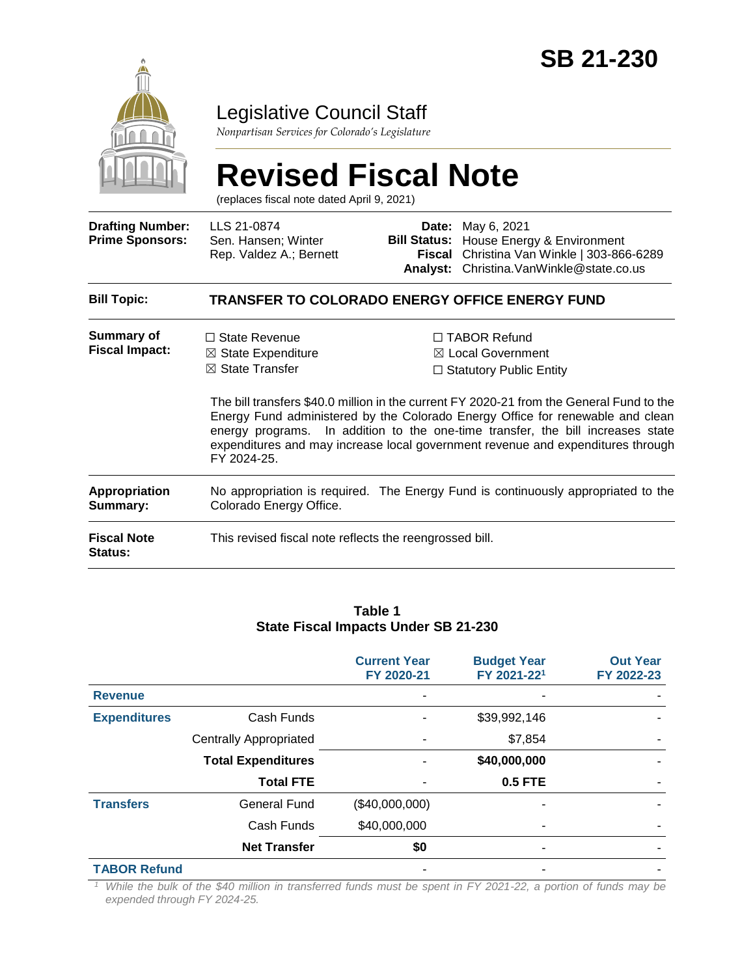

## Legislative Council Staff

*Nonpartisan Services for Colorado's Legislature*

# **Revised Fiscal Note** (replaces fiscal note dated April 9, 2021)

| <b>Drafting Number:</b><br><b>Prime Sponsors:</b> | LLS 21-0874<br>Sen. Hansen; Winter<br>Rep. Valdez A.; Bernett                                                | Fiscal | <b>Date:</b> May 6, 2021<br><b>Bill Status:</b> House Energy & Environment<br>Christina Van Winkle   303-866-6289<br>Analyst: Christina. VanWinkle@state.co.us                                                                                                                                                                                                                                                                            |  |  |  |
|---------------------------------------------------|--------------------------------------------------------------------------------------------------------------|--------|-------------------------------------------------------------------------------------------------------------------------------------------------------------------------------------------------------------------------------------------------------------------------------------------------------------------------------------------------------------------------------------------------------------------------------------------|--|--|--|
| <b>Bill Topic:</b>                                | TRANSFER TO COLORADO ENERGY OFFICE ENERGY FUND                                                               |        |                                                                                                                                                                                                                                                                                                                                                                                                                                           |  |  |  |
| <b>Summary of</b><br><b>Fiscal Impact:</b>        | $\Box$ State Revenue<br>$\boxtimes$ State Expenditure<br>$\boxtimes$ State Transfer<br>FY 2024-25.           |        | $\Box$ TABOR Refund<br>$\boxtimes$ Local Government<br>$\Box$ Statutory Public Entity<br>The bill transfers \$40.0 million in the current FY 2020-21 from the General Fund to the<br>Energy Fund administered by the Colorado Energy Office for renewable and clean<br>energy programs. In addition to the one-time transfer, the bill increases state<br>expenditures and may increase local government revenue and expenditures through |  |  |  |
| Appropriation<br>Summary:                         | No appropriation is required. The Energy Fund is continuously appropriated to the<br>Colorado Energy Office. |        |                                                                                                                                                                                                                                                                                                                                                                                                                                           |  |  |  |
| <b>Fiscal Note</b><br><b>Status:</b>              | This revised fiscal note reflects the reengrossed bill.                                                      |        |                                                                                                                                                                                                                                                                                                                                                                                                                                           |  |  |  |

#### **Table 1 State Fiscal Impacts Under SB 21-230**

|                     |                               | <b>Current Year</b><br>FY 2020-21 | <b>Budget Year</b><br>FY 2021-221 | <b>Out Year</b><br>FY 2022-23 |
|---------------------|-------------------------------|-----------------------------------|-----------------------------------|-------------------------------|
| <b>Revenue</b>      |                               |                                   |                                   |                               |
| <b>Expenditures</b> | Cash Funds                    |                                   | \$39,992,146                      |                               |
|                     | <b>Centrally Appropriated</b> |                                   | \$7,854                           |                               |
|                     | <b>Total Expenditures</b>     |                                   | \$40,000,000                      |                               |
|                     | <b>Total FTE</b>              |                                   | 0.5 FTE                           |                               |
| <b>Transfers</b>    | <b>General Fund</b>           | (\$40,000,000)                    |                                   |                               |
|                     | Cash Funds                    | \$40,000,000                      |                                   |                               |
|                     | <b>Net Transfer</b>           | \$0                               | ۰                                 |                               |
| <b>TABOR Refund</b> |                               |                                   |                                   |                               |

*<sup>1</sup> While the bulk of the \$40 million in transferred funds must be spent in FY 2021-22, a portion of funds may be expended through FY 2024-25.*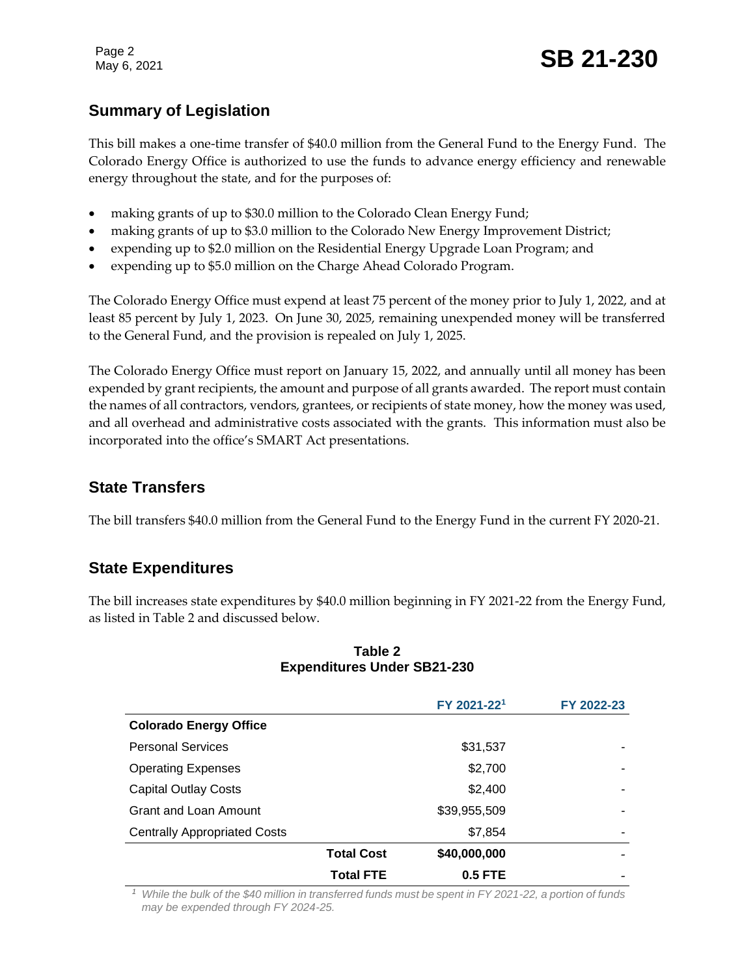Page 2

## **Summary of Legislation**

This bill makes a one-time transfer of \$40.0 million from the General Fund to the Energy Fund. The Colorado Energy Office is authorized to use the funds to advance energy efficiency and renewable energy throughout the state, and for the purposes of:

- making grants of up to \$30.0 million to the Colorado Clean Energy Fund;
- making grants of up to \$3.0 million to the Colorado New Energy Improvement District;
- expending up to \$2.0 million on the Residential Energy Upgrade Loan Program; and
- expending up to \$5.0 million on the Charge Ahead Colorado Program.

The Colorado Energy Office must expend at least 75 percent of the money prior to July 1, 2022, and at least 85 percent by July 1, 2023. On June 30, 2025, remaining unexpended money will be transferred to the General Fund, and the provision is repealed on July 1, 2025.

The Colorado Energy Office must report on January 15, 2022, and annually until all money has been expended by grant recipients, the amount and purpose of all grants awarded. The report must contain the names of all contractors, vendors, grantees, or recipients of state money, how the money was used, and all overhead and administrative costs associated with the grants. This information must also be incorporated into the office's SMART Act presentations.

## **State Transfers**

The bill transfers \$40.0 million from the General Fund to the Energy Fund in the current FY 2020-21.

### **State Expenditures**

The bill increases state expenditures by \$40.0 million beginning in FY 2021-22 from the Energy Fund, as listed in Table 2 and discussed below.

|                                     |                   | FY 2021-221  | FY 2022-23 |
|-------------------------------------|-------------------|--------------|------------|
| <b>Colorado Energy Office</b>       |                   |              |            |
| <b>Personal Services</b>            |                   | \$31,537     |            |
| <b>Operating Expenses</b>           |                   | \$2,700      |            |
| <b>Capital Outlay Costs</b>         |                   | \$2,400      | ۰          |
| Grant and Loan Amount               |                   | \$39,955,509 | ۰          |
| <b>Centrally Appropriated Costs</b> |                   | \$7,854      | ۰          |
|                                     | <b>Total Cost</b> | \$40,000,000 |            |
|                                     | <b>Total FTE</b>  | $0.5$ FTE    |            |

#### **Table 2 Expenditures Under SB21-230**

*<sup>1</sup> While the bulk of the \$40 million in transferred funds must be spent in FY 2021-22, a portion of funds may be expended through FY 2024-25.*